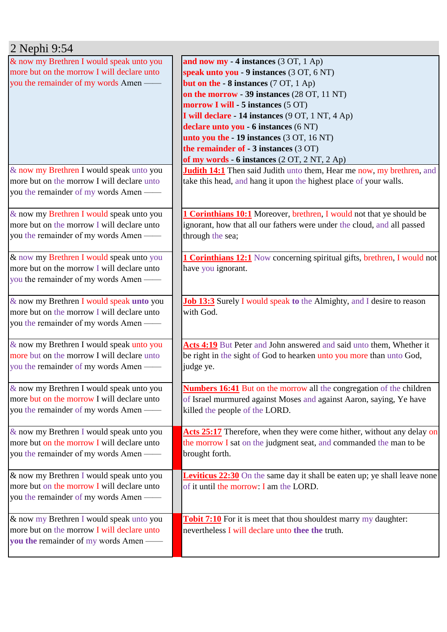| 2 Nephi 9:54                                                                           |                                                                                    |
|----------------------------------------------------------------------------------------|------------------------------------------------------------------------------------|
| & now my Brethren I would speak unto you<br>more but on the morrow I will declare unto | and now my - 4 instances (3 OT, 1 Ap)<br>speak unto you - 9 instances (3 OT, 6 NT) |
| you the remainder of my words Amen —                                                   | <b>but on the - 8 instances</b> (7 OT, 1 Ap)                                       |
|                                                                                        | on the morrow - 39 instances (28 OT, 11 NT)                                        |
|                                                                                        | morrow I will - 5 instances (5 OT)                                                 |
|                                                                                        |                                                                                    |
|                                                                                        | I will declare - 14 instances (9 OT, 1 NT, 4 Ap)                                   |
|                                                                                        | declare unto you - 6 instances (6 NT)                                              |
|                                                                                        | unto you the - 19 instances (3 OT, 16 NT)                                          |
|                                                                                        | the remainder of - 3 instances (3 OT)                                              |
|                                                                                        | of my words - 6 instances (2 OT, 2 NT, 2 Ap)                                       |
| & now my Brethren I would speak unto you                                               | <b>Judith 14:1</b> Then said Judith unto them, Hear me now, my brethren, and       |
| more but on the morrow I will declare unto                                             | take this head, and hang it upon the highest place of your walls.                  |
| you the remainder of my words Amen —                                                   |                                                                                    |
| & now my Brethren I would speak unto you                                               | 1 Corinthians 10:1 Moreover, brethren, I would not that ye should be               |
| more but on the morrow I will declare unto                                             | ignorant, how that all our fathers were under the cloud, and all passed            |
| you the remainder of my words Amen —                                                   | through the sea;                                                                   |
|                                                                                        |                                                                                    |
| & now my Brethren I would speak unto you                                               | <b>1 Corinthians 12:1</b> Now concerning spiritual gifts, brethren, I would not    |
| more but on the morrow I will declare unto                                             | have you ignorant.                                                                 |
| you the remainder of my words Amen —                                                   |                                                                                    |
|                                                                                        |                                                                                    |
| & now my Brethren I would speak unto you                                               | Job 13:3 Surely I would speak to the Almighty, and I desire to reason              |
| more but on the morrow I will declare unto                                             | with God.                                                                          |
| you the remainder of my words Amen —                                                   |                                                                                    |
|                                                                                        |                                                                                    |
| & now my Brethren I would speak unto you                                               | Acts 4:19 But Peter and John answered and said unto them, Whether it               |
| more but on the morrow I will declare unto                                             | be right in the sight of God to hearken unto you more than unto God,               |
| you the remainder of my words Amen -                                                   | judge ye.                                                                          |
|                                                                                        |                                                                                    |
| & now my Brethren I would speak unto you                                               | <b>Numbers 16:41</b> But on the morrow all the congregation of the children        |
| more but on the morrow I will declare unto                                             | of Israel murmured against Moses and against Aaron, saying, Ye have                |
| you the remainder of my words Amen —                                                   | killed the people of the LORD.                                                     |
|                                                                                        |                                                                                    |
| & now my Brethren I would speak unto you                                               | Acts 25:17 Therefore, when they were come hither, without any delay on             |
| more but on the morrow I will declare unto                                             | the morrow I sat on the judgment seat, and commanded the man to be                 |
| you the remainder of my words Amen —                                                   | brought forth.                                                                     |
| & now my Brethren I would speak unto you                                               | <b>Leviticus 22:30</b> On the same day it shall be eaten up; ye shall leave none   |
| more but on the morrow I will declare unto                                             | of it until the morrow: I am the LORD.                                             |
|                                                                                        |                                                                                    |
| you the remainder of my words Amen -                                                   |                                                                                    |
| & now my Brethren I would speak unto you                                               | <b>Tobit 7:10</b> For it is meet that thou shouldest marry my daughter:            |
| more but on the morrow I will declare unto                                             | nevertheless I will declare unto thee the truth.                                   |
| you the remainder of my words Amen —                                                   |                                                                                    |
|                                                                                        |                                                                                    |